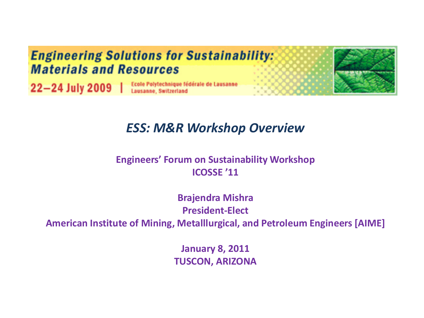

#### *ESS: M&R Workshop Overview*

#### **Engineers' Forum on Sustainability Workshop ICOSSE '11**

**Brajendra Mishra President-Elect**

**American Institute of Mining, Metalllurgical, and Petroleum Engineers [AIME]**

**January 8, 2011 TUSCON, ARIZONA**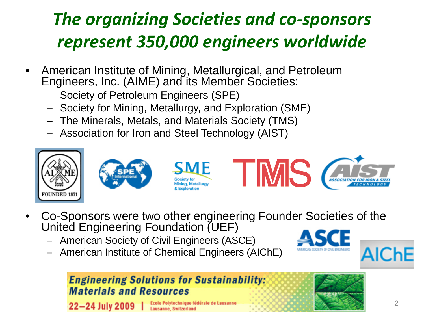### *The organizing Societies and co-sponsors represent 350,000 engineers worldwide*

- American Institute of Mining, Metallurgical, and Petroleum Engineers, Inc. (AIME) and its Member Societies:
	- Society of Petroleum Engineers (SPE)
	- Society for Mining, Metallurgy, and Exploration (SME)
	- The Minerals, Metals, and Materials Society (TMS)
	- Association for Iron and Steel Technology (AIST)



- Co-Sponsors were two other engineering Founder Societies of the United Engineering Foundation (UEF)
	- American Society of Civil Engineers (ASCE)
	- American Institute of Chemical Engineers (AIChE)



#### **Engineering Solutions for Sustainability: Materials and Resources**

22-24 July 2009 Lausanne, Switzerlar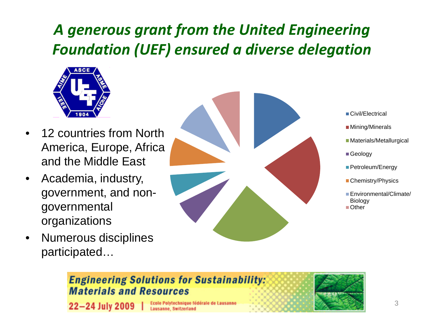### *A generous grant from the United Engineering Foundation (UEF) ensured a diverse delegation*



- 12 countries from North America, Europe, Africa and the Middle East
- Academia, industry, government, and nongovernmental organizations
- Numerous disciplines participated…



- ■Civil/Electrical
- **Mining/Minerals**
- Materials/Metallurgical
- Geology
- Petroleum/Energy
- Chemistry/Physics
- Environmental/Climate/ **Biology** ■Other

#### **Engineering Solutions for Sustainability: Materials and Resources**

22-24 July 2009

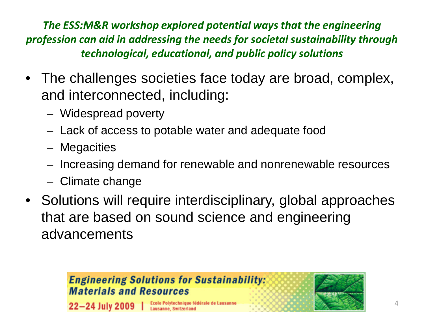*The ESS:M&R workshop explored potential ways that the engineering profession can aid in addressing the needs for societal sustainability through technological, educational, and public policy solutions*

- The challenges societies face today are broad, complex, and interconnected, including:
	- Widespread poverty
	- Lack of access to potable water and adequate food
	- Megacities
	- Increasing demand for renewable and nonrenewable resources
	- Climate change
- Solutions will require interdisciplinary, global approaches that are based on sound science and engineering advancements

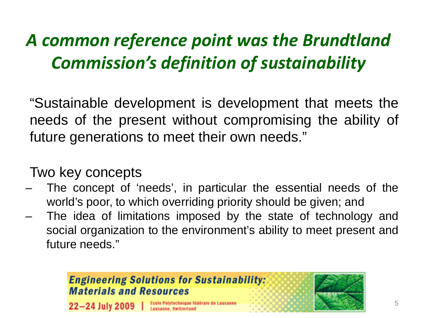## *A common reference point was the Brundtland Commission's definition of sustainability*

"Sustainable development is development that meets the needs of the present without compromising the ability of future generations to meet their own needs."

#### Two key concepts

- The concept of 'needs', in particular the essential needs of the world's poor, to which overriding priority should be given; and
- The idea of limitations imposed by the state of technology and social organization to the environment's ability to meet present and future needs."

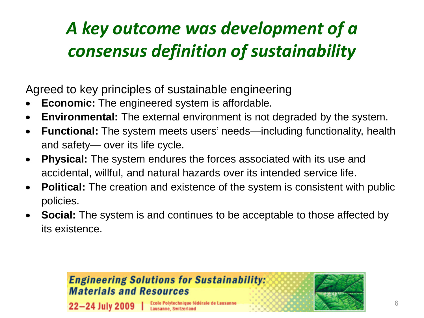## *A key outcome was development of a consensus definition of sustainability*

Agreed to key principles of sustainable engineering

- **Economic:** The engineered system is affordable.
- **Environmental:** The external environment is not degraded by the system.
- **Functional:** The system meets users' needs—including functionality, health and safety— over its life cycle.
- **Physical:** The system endures the forces associated with its use and accidental, willful, and natural hazards over its intended service life.
- **Political:** The creation and existence of the system is consistent with public policies.
- **Social:** The system is and continues to be acceptable to those affected by its existence.

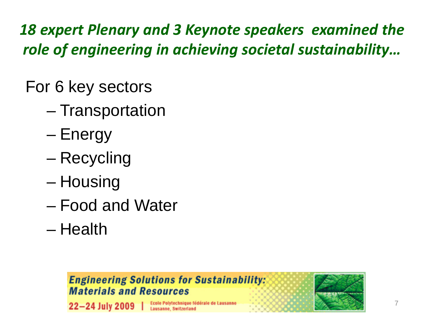*18 expert Plenary and 3 Keynote speakers examined the role of engineering in achieving societal sustainability…*

For 6 key sectors

- Transportation
- Energy
- Recycling
- Housing
- Food and Water
- Health

#### **Engineering Solutions for Sustainability: Materials and Resources**



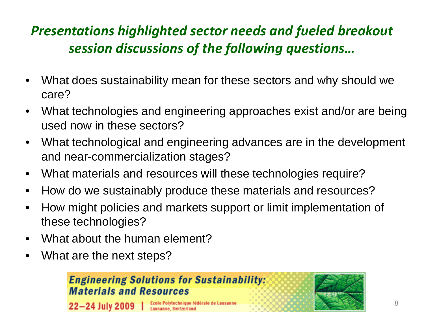### *Presentations highlighted sector needs and fueled breakout session discussions of the following questions…*

- What does sustainability mean for these sectors and why should we care?
- What technologies and engineering approaches exist and/or are being used now in these sectors?
- What technological and engineering advances are in the development and near-commercialization stages?
- What materials and resources will these technologies require?
- How do we sustainably produce these materials and resources?
- How might policies and markets support or limit implementation of these technologies?
- What about the human element?
- What are the next steps?



 $22 - 24$  July 2009

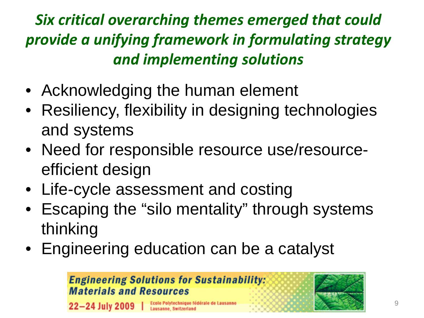### *Six critical overarching themes emerged that could provide a unifying framework in formulating strategy and implementing solutions*

- Acknowledging the human element
- Resiliency, flexibility in designing technologies and systems
- Need for responsible resource use/resourceefficient design
- Life-cycle assessment and costing
- Escaping the "silo mentality" through systems thinking
- Engineering education can be a catalyst

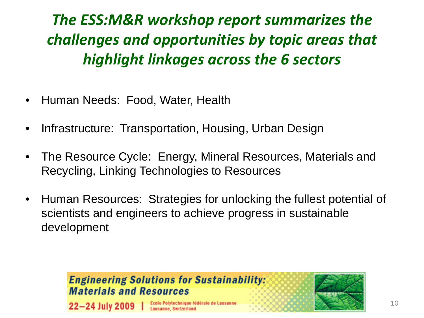### *The ESS:M&R workshop report summarizes the challenges and opportunities by topic areas that highlight linkages across the 6 sectors*

- Human Needs: Food, Water, Health
- Infrastructure: Transportation, Housing, Urban Design
- The Resource Cycle: Energy, Mineral Resources, Materials and Recycling, Linking Technologies to Resources
- Human Resources: Strategies for unlocking the fullest potential of scientists and engineers to achieve progress in sustainable development

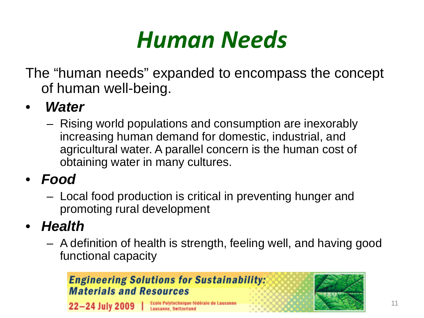## *Human Needs*

The "human needs" expanded to encompass the concept of human well-being.

- *Water*
	- Rising world populations and consumption are inexorably increasing human demand for domestic, industrial, and agricultural water. A parallel concern is the human cost of obtaining water in many cultures.
- *Food*
	- Local food production is critical in preventing hunger and promoting rural development
- *Health*
	- A definition of health is strength, feeling well, and having good functional capacity

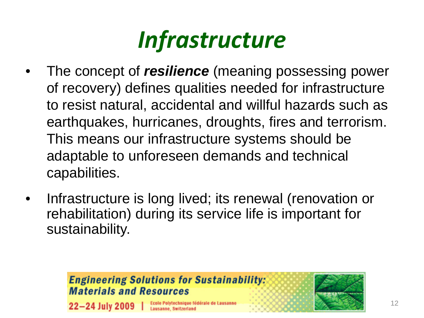

- The concept of *resilience* (meaning possessing power of recovery) defines qualities needed for infrastructure to resist natural, accidental and willful hazards such as earthquakes, hurricanes, droughts, fires and terrorism. This means our infrastructure systems should be adaptable to unforeseen demands and technical capabilities.
- Infrastructure is long lived; its renewal (renovation or rehabilitation) during its service life is important for sustainability.

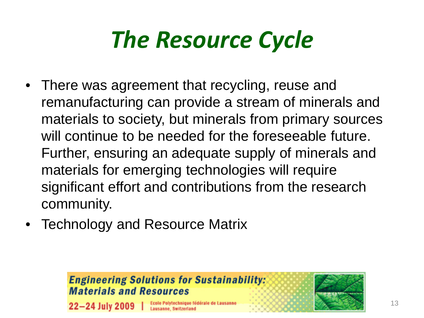## *The Resource Cycle*

- There was agreement that recycling, reuse and remanufacturing can provide a stream of minerals and materials to society, but minerals from primary sources will continue to be needed for the foreseeable future. Further, ensuring an adequate supply of minerals and materials for emerging technologies will require significant effort and contributions from the research community.
- Technology and Resource Matrix

#### **Engineering Solutions for Sustainability: Materials and Resources**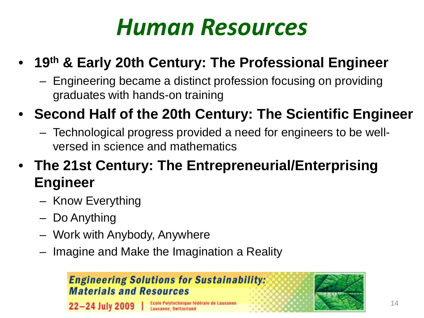## *Human Resources*

### • **19th & Early 20th Century: The Professional Engineer**

– Engineering became a distinct profession focusing on providing graduates with hands-on training

### • **Second Half of the 20th Century: The Scientific Engineer**

– Technological progress provided a need for engineers to be wellversed in science and mathematics

### • **The 21st Century: The Entrepreneurial/Enterprising Engineer**

- Know Everything
- Do Anything
- Work with Anybody, Anywhere
- Imagine and Make the Imagination a Reality

#### **Engineering Solutions for Sustainability: Materials and Resources**

 $22 - 24$  July 2009

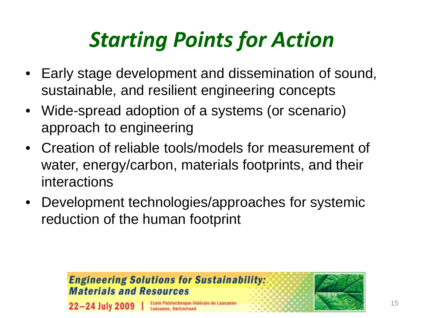## *Starting Points for Action*

- Early stage development and dissemination of sound, sustainable, and resilient engineering concepts
- Wide-spread adoption of a systems (or scenario) approach to engineering
- Creation of reliable tools/models for measurement of water, energy/carbon, materials footprints, and their interactions
- Development technologies/approaches for systemic reduction of the human footprint

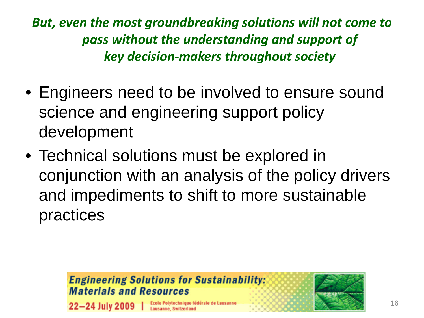*But, even the most groundbreaking solutions will not come to pass without the understanding and support of key decision-makers throughout society*

- Engineers need to be involved to ensure sound science and engineering support policy development
- Technical solutions must be explored in conjunction with an analysis of the policy drivers and impediments to shift to more sustainable practices